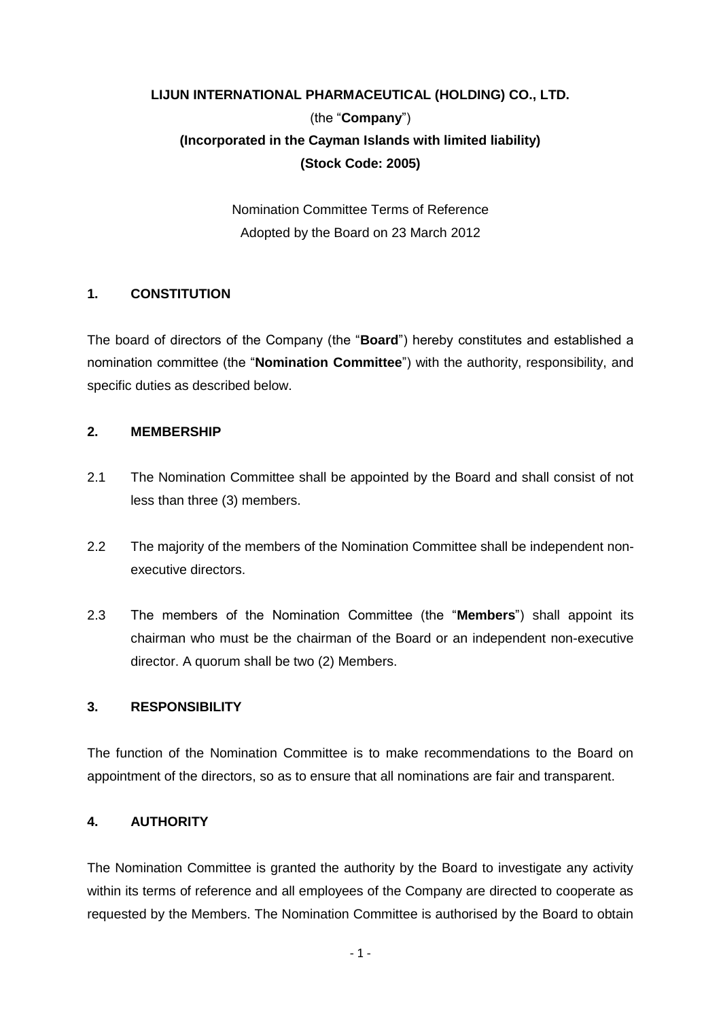# **LIJUN INTERNATIONAL PHARMACEUTICAL (HOLDING) CO., LTD.**  (the "**Company**") **(Incorporated in the Cayman Islands with limited liability) (Stock Code: 2005)**

Nomination Committee Terms of Reference Adopted by the Board on 23 March 2012

## **1. CONSTITUTION**

The board of directors of the Company (the "**Board**") hereby constitutes and established a nomination committee (the "**Nomination Committee**") with the authority, responsibility, and specific duties as described below.

#### **2. MEMBERSHIP**

- 2.1 The Nomination Committee shall be appointed by the Board and shall consist of not less than three (3) members.
- 2.2 The majority of the members of the Nomination Committee shall be independent nonexecutive directors.
- 2.3 The members of the Nomination Committee (the "**Members**") shall appoint its chairman who must be the chairman of the Board or an independent non-executive director. A quorum shall be two (2) Members.

## **3. RESPONSIBILITY**

The function of the Nomination Committee is to make recommendations to the Board on appointment of the directors, so as to ensure that all nominations are fair and transparent.

## **4. AUTHORITY**

The Nomination Committee is granted the authority by the Board to investigate any activity within its terms of reference and all employees of the Company are directed to cooperate as requested by the Members. The Nomination Committee is authorised by the Board to obtain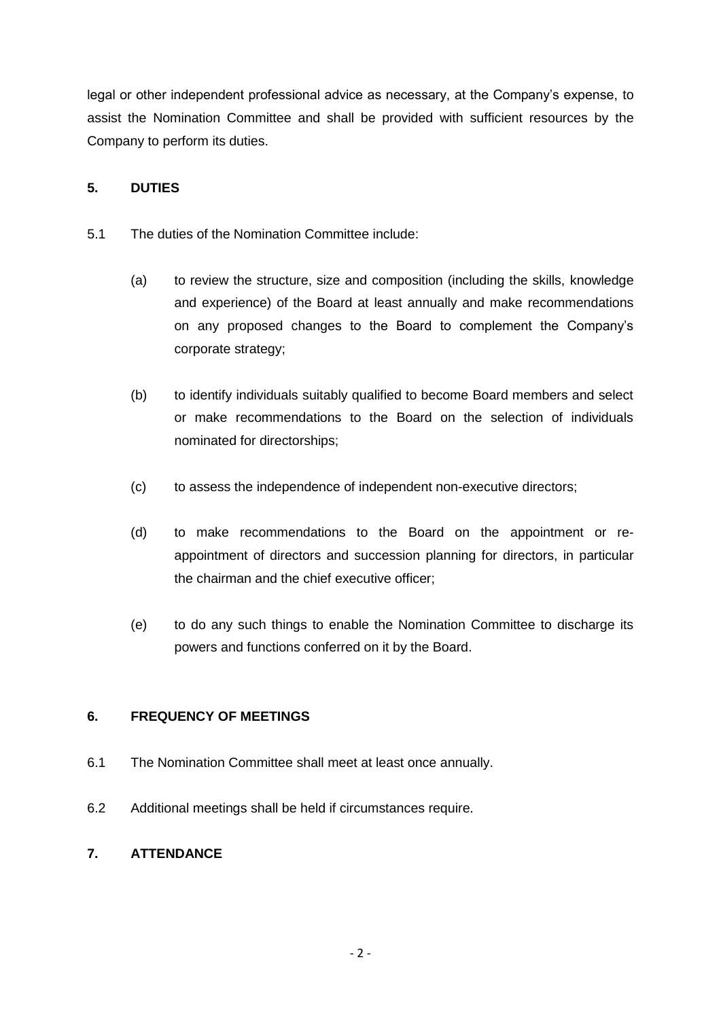legal or other independent professional advice as necessary, at the Company's expense, to assist the Nomination Committee and shall be provided with sufficient resources by the Company to perform its duties.

## **5. DUTIES**

- 5.1 The duties of the Nomination Committee include:
	- (a) to review the structure, size and composition (including the skills, knowledge and experience) of the Board at least annually and make recommendations on any proposed changes to the Board to complement the Company's corporate strategy;
	- (b) to identify individuals suitably qualified to become Board members and select or make recommendations to the Board on the selection of individuals nominated for directorships;
	- (c) to assess the independence of independent non-executive directors;
	- (d) to make recommendations to the Board on the appointment or reappointment of directors and succession planning for directors, in particular the chairman and the chief executive officer;
	- (e) to do any such things to enable the Nomination Committee to discharge its powers and functions conferred on it by the Board.

## **6. FREQUENCY OF MEETINGS**

- 6.1 The Nomination Committee shall meet at least once annually.
- 6.2 Additional meetings shall be held if circumstances require.

## **7. ATTENDANCE**